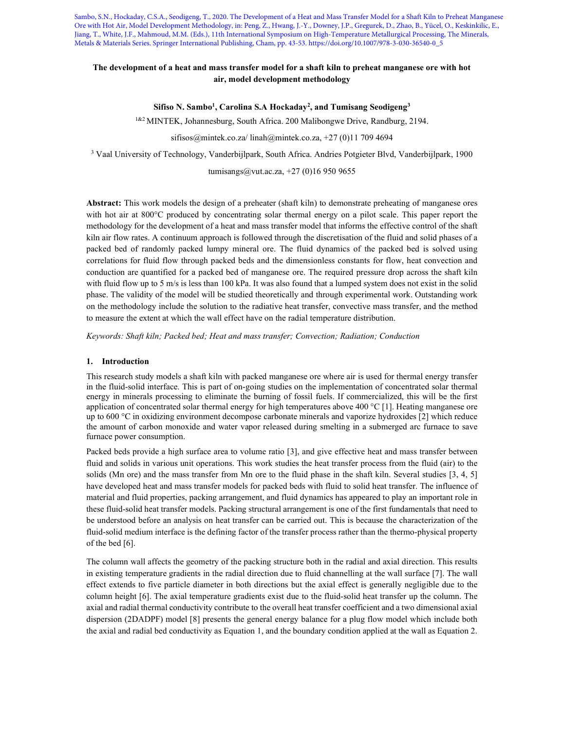Sambo, S.N., Hockaday, C.S.A., Seodigeng, T., 2020. The Development of a Heat and Mass Transfer Model for a Shaft Kiln to Preheat Manganese Ore with Hot Air, Model Development Methodology, in: Peng, Z., Hwang, J.-Y., Downey, J.P., Gregurek, D., Zhao, B., Yücel, O., Keskinkilic, E., Jiang, T., White, J.F., Mahmoud, M.M. (Eds.), 11th International Symposium on High-Temperature Metallurgical Processing, The Minerals, Metals & Materials Series. Springer International Publishing, Cham, pp. 43-53. https://doi.org/10.1007/978-3-030-36540-0\_5

## The development of a heat and mass transfer model for a shaft kiln to preheat manganese ore with hot air, model development methodology

Sifiso N. Sambo<sup>1</sup>, Carolina S.A Hockaday<sup>2</sup>, and Tumisang Seodigeng<sup>3</sup>

<sup>1&2</sup> MINTEK, Johannesburg, South Africa. 200 Malibongwe Drive, Randburg, 2194.

sifisos@mintek.co.za/ linah@mintek.co.za, +27 (0)11 709 4694

3 Vaal University of Technology, Vanderbijlpark, South Africa. Andries Potgieter Blvd, Vanderbijlpark, 1900

tumisangs@vut.ac.za, +27 (0)16 950 9655

Abstract: This work models the design of a preheater (shaft kiln) to demonstrate preheating of manganese ores with hot air at 800°C produced by concentrating solar thermal energy on a pilot scale. This paper report the methodology for the development of a heat and mass transfer model that informs the effective control of the shaft kiln air flow rates. A continuum approach is followed through the discretisation of the fluid and solid phases of a packed bed of randomly packed lumpy mineral ore. The fluid dynamics of the packed bed is solved using correlations for fluid flow through packed beds and the dimensionless constants for flow, heat convection and conduction are quantified for a packed bed of manganese ore. The required pressure drop across the shaft kiln with fluid flow up to 5 m/s is less than 100 kPa. It was also found that a lumped system does not exist in the solid phase. The validity of the model will be studied theoretically and through experimental work. Outstanding work on the methodology include the solution to the radiative heat transfer, convective mass transfer, and the method to measure the extent at which the wall effect have on the radial temperature distribution.

Keywords: Shaft kiln; Packed bed; Heat and mass transfer; Convection; Radiation; Conduction

### 1. Introduction

This research study models a shaft kiln with packed manganese ore where air is used for thermal energy transfer in the fluid-solid interface. This is part of on-going studies on the implementation of concentrated solar thermal energy in minerals processing to eliminate the burning of fossil fuels. If commercialized, this will be the first application of concentrated solar thermal energy for high temperatures above 400  $^{\circ}$ C [1]. Heating manganese ore up to 600 °C in oxidizing environment decompose carbonate minerals and vaporize hydroxides [2] which reduce the amount of carbon monoxide and water vapor released during smelting in a submerged arc furnace to save furnace power consumption.

Packed beds provide a high surface area to volume ratio [3], and give effective heat and mass transfer between fluid and solids in various unit operations. This work studies the heat transfer process from the fluid (air) to the solids (Mn ore) and the mass transfer from Mn ore to the fluid phase in the shaft kiln. Several studies [3, 4, 5] have developed heat and mass transfer models for packed beds with fluid to solid heat transfer. The influence of material and fluid properties, packing arrangement, and fluid dynamics has appeared to play an important role in these fluid-solid heat transfer models. Packing structural arrangement is one of the first fundamentals that need to be understood before an analysis on heat transfer can be carried out. This is because the characterization of the fluid-solid medium interface is the defining factor of the transfer process rather than the thermo-physical property of the bed [6].

The column wall affects the geometry of the packing structure both in the radial and axial direction. This results in existing temperature gradients in the radial direction due to fluid channelling at the wall surface [7]. The wall effect extends to five particle diameter in both directions but the axial effect is generally negligible due to the column height [6]. The axial temperature gradients exist due to the fluid-solid heat transfer up the column. The axial and radial thermal conductivity contribute to the overall heat transfer coefficient and a two dimensional axial dispersion (2DADPF) model [8] presents the general energy balance for a plug flow model which include both the axial and radial bed conductivity as Equation 1, and the boundary condition applied at the wall as Equation 2.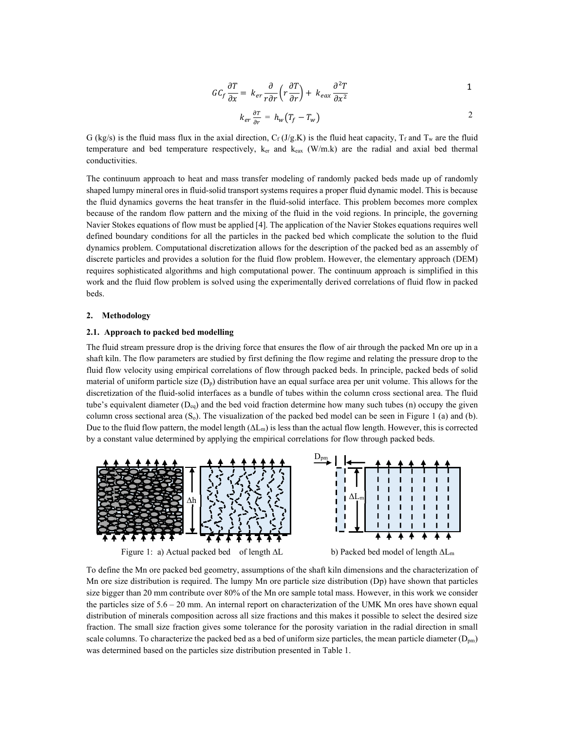$$
GC_f \frac{\partial T}{\partial x} = k_{er} \frac{\partial}{r \partial r} \left( r \frac{\partial T}{\partial r} \right) + k_{eax} \frac{\partial^2 T}{\partial x^2}
$$

$$
k_{er} \frac{\partial r}{\partial r} = h_w (T_f - T_w) \tag{2}
$$

G (kg/s) is the fluid mass flux in the axial direction,  $C_f$  (J/g.K) is the fluid heat capacity,  $T_f$  and  $T_w$  are the fluid temperature and bed temperature respectively,  $k_{er}$  and  $k_{ear}$  (W/m.k) are the radial and axial bed thermal conductivities.

The continuum approach to heat and mass transfer modeling of randomly packed beds made up of randomly shaped lumpy mineral ores in fluid-solid transport systems requires a proper fluid dynamic model. This is because the fluid dynamics governs the heat transfer in the fluid-solid interface. This problem becomes more complex because of the random flow pattern and the mixing of the fluid in the void regions. In principle, the governing Navier Stokes equations of flow must be applied [4]. The application of the Navier Stokes equations requires well defined boundary conditions for all the particles in the packed bed which complicate the solution to the fluid dynamics problem. Computational discretization allows for the description of the packed bed as an assembly of discrete particles and provides a solution for the fluid flow problem. However, the elementary approach (DEM) requires sophisticated algorithms and high computational power. The continuum approach is simplified in this work and the fluid flow problem is solved using the experimentally derived correlations of fluid flow in packed beds.

#### 2. Methodology

#### 2.1. Approach to packed bed modelling

The fluid stream pressure drop is the driving force that ensures the flow of air through the packed Mn ore up in a shaft kiln. The flow parameters are studied by first defining the flow regime and relating the pressure drop to the fluid flow velocity using empirical correlations of flow through packed beds. In principle, packed beds of solid material of uniform particle size  $(D_p)$  distribution have an equal surface area per unit volume. This allows for the discretization of the fluid-solid interfaces as a bundle of tubes within the column cross sectional area. The fluid tube's equivalent diameter  $(D_{eq})$  and the bed void fraction determine how many such tubes (n) occupy the given column cross sectional area  $(S_0)$ . The visualization of the packed bed model can be seen in Figure 1 (a) and (b). Due to the fluid flow pattern, the model length  $(\Delta L_m)$  is less than the actual flow length. However, this is corrected by a constant value determined by applying the empirical correlations for flow through packed beds.



To define the Mn ore packed bed geometry, assumptions of the shaft kiln dimensions and the characterization of Mn ore size distribution is required. The lumpy Mn ore particle size distribution (Dp) have shown that particles size bigger than 20 mm contribute over 80% of the Mn ore sample total mass. However, in this work we consider the particles size of 5.6 – 20 mm. An internal report on characterization of the UMK Mn ores have shown equal distribution of minerals composition across all size fractions and this makes it possible to select the desired size fraction. The small size fraction gives some tolerance for the porosity variation in the radial direction in small scale columns. To characterize the packed bed as a bed of uniform size particles, the mean particle diameter  $(D_{pm})$ was determined based on the particles size distribution presented in Table 1.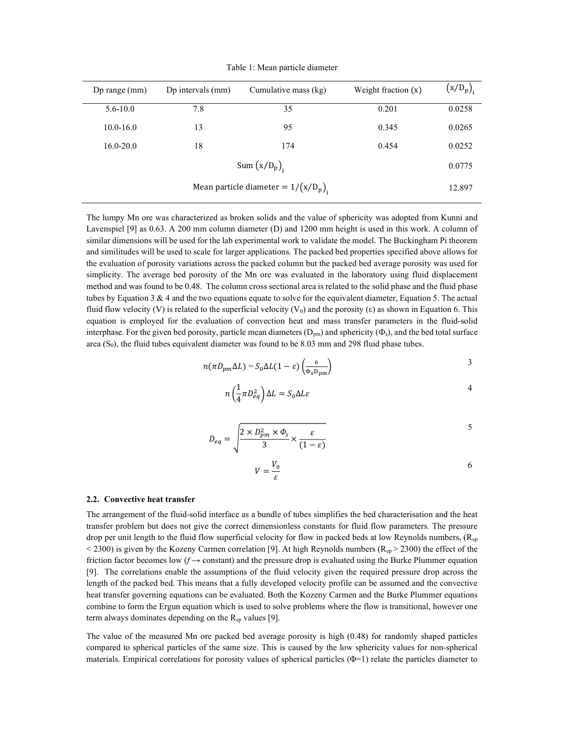|                                        | Dp range $(mm)$ | Dp intervals (mm) | Cumulative mass (kg) | Weight fraction $(x)$ | $(x/D_p)$ |
|----------------------------------------|-----------------|-------------------|----------------------|-----------------------|-----------|
|                                        | $5.6 - 10.0$    | 7.8               | 35                   | 0.201                 | 0.0258    |
|                                        | $10.0 - 16.0$   | 13                | 95                   | 0.345                 | 0.0265    |
|                                        | $16.0 - 20.0$   | 18                | 174                  | 0.454                 | 0.0252    |
|                                        |                 |                   | Sum $(x/D_p)$ ,      |                       | 0.0775    |
| Mean particle diameter = $1/(x/D_p)$ , |                 |                   | 12.897               |                       |           |
|                                        |                 |                   |                      |                       |           |

Table 1: Mean particle diameter

The lumpy Mn ore was characterized as broken solids and the value of sphericity was adopted from Kunni and Lavenspiel [9] as 0.63. A 200 mm column diameter (D) and 1200 mm height is used in this work. A column of similar dimensions will be used for the lab experimental work to validate the model. The Buckingham Pi theorem and similitudes will be used to scale for larger applications. The packed bed properties specified above allows for the evaluation of porosity variations across the packed column but the packed bed average porosity was used for simplicity. The average bed porosity of the Mn ore was evaluated in the laboratory using fluid displacement method and was found to be 0.48. The column cross sectional area is related to the solid phase and the fluid phase tubes by Equation 3  $\&$  4 and the two equations equate to solve for the equivalent diameter, Equation 5. The actual fluid flow velocity (V) is related to the superficial velocity (V<sub>0</sub>) and the porosity (ε) as shown in Equation 6. This equation is employed for the evaluation of convection heat and mass transfer parameters in the fluid-solid interphase. For the given bed porosity, particle mean diameters  $(D_{pm})$  and sphericity ( $\Phi_s$ ), and the bed total surface area  $(S_0)$ , the fluid tubes equivalent diameter was found to be 8.03 mm and 298 fluid phase tubes.

$$
n(\pi D_{pm} \Delta L) = S_0 \Delta L (1 - \varepsilon) \left( \frac{6}{\Phi_s D_{pm}} \right)
$$

$$
n\left(\frac{1}{4}\pi D_{eq}^2\right)\Delta L = S_0 \Delta L \varepsilon
$$

$$
D_{eq} = \sqrt{\frac{2 \times D_{pm}^2 \times \Phi_s}{3} \times \frac{\varepsilon}{(1 - \varepsilon)}}
$$

$$
V = \frac{V_0}{\varepsilon} \tag{6}
$$

#### 2.2. Convective heat transfer

The arrangement of the fluid-solid interface as a bundle of tubes simplifies the bed characterisation and the heat transfer problem but does not give the correct dimensionless constants for fluid flow parameters. The pressure drop per unit length to the fluid flow superficial velocity for flow in packed beds at low Reynolds numbers,  $(R_{ep}$  $<$  2300) is given by the Kozeny Carmen correlation [9]. At high Reynolds numbers ( $R_{ep}$  > 2300) the effect of the friction factor becomes low ( $f \rightarrow$  constant) and the pressure drop is evaluated using the Burke Plummer equation [9]. The correlations enable the assumptions of the fluid velocity given the required pressure drop across the length of the packed bed. This means that a fully developed velocity profile can be assumed and the convective heat transfer governing equations can be evaluated. Both the Kozeny Carmen and the Burke Plummer equations combine to form the Ergun equation which is used to solve problems where the flow is transitional, however one term always dominates depending on the  $R_{ep}$  values [9].

The value of the measured Mn ore packed bed average porosity is high (0.48) for randomly shaped particles compared to spherical particles of the same size. This is caused by the low sphericity values for non-spherical materials. Empirical correlations for porosity values of spherical particles (Φ=1) relate the particles diameter to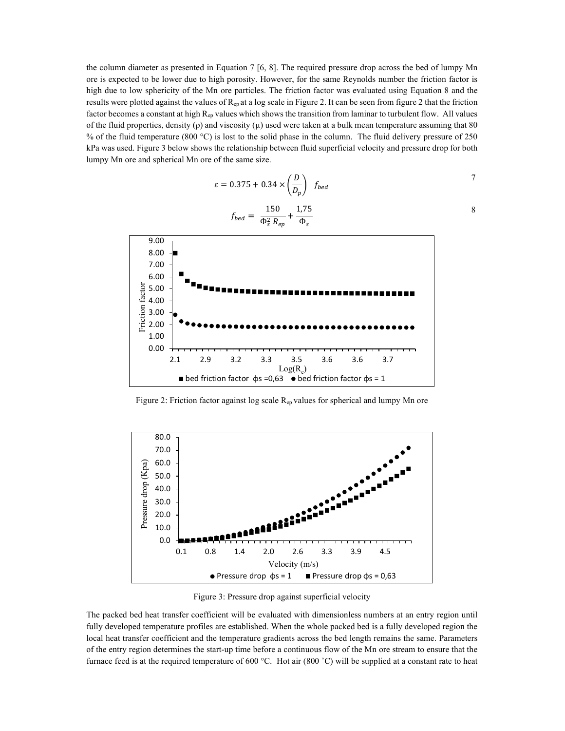the column diameter as presented in Equation 7 [6, 8]. The required pressure drop across the bed of lumpy Mn ore is expected to be lower due to high porosity. However, for the same Reynolds number the friction factor is high due to low sphericity of the Mn ore particles. The friction factor was evaluated using Equation 8 and the results were plotted against the values of  $R_{ep}$  at a log scale in Figure 2. It can be seen from figure 2 that the friction factor becomes a constant at high R<sub>ep</sub> values which shows the transition from laminar to turbulent flow. All values of the fluid properties, density  $(\rho)$  and viscosity  $(\mu)$  used were taken at a bulk mean temperature assuming that 80 % of the fluid temperature (800 °C) is lost to the solid phase in the column. The fluid delivery pressure of 250 kPa was used. Figure 3 below shows the relationship between fluid superficial velocity and pressure drop for both lumpy Mn ore and spherical Mn ore of the same size.

$$
\varepsilon = 0.375 + 0.34 \times \left(\frac{D}{D_p}\right) f_{bed}
$$

$$
f_{bed} = \frac{150}{\Phi_s^2 R_{ep}} + \frac{1,75}{\Phi_s}
$$
  
9.00  
8.00  
7.00  
6.00  
1  
9.00  
1  
1  
1  
2  
2  
3.00  
3.00  
4  
4  
4  
5.00



Figure 2: Friction factor against log scale  $R_{ep}$  values for spherical and lumpy Mn ore



Figure 3: Pressure drop against superficial velocity

The packed bed heat transfer coefficient will be evaluated with dimensionless numbers at an entry region until fully developed temperature profiles are established. When the whole packed bed is a fully developed region the local heat transfer coefficient and the temperature gradients across the bed length remains the same. Parameters of the entry region determines the start-up time before a continuous flow of the Mn ore stream to ensure that the furnace feed is at the required temperature of 600 °C. Hot air (800 °C) will be supplied at a constant rate to heat

8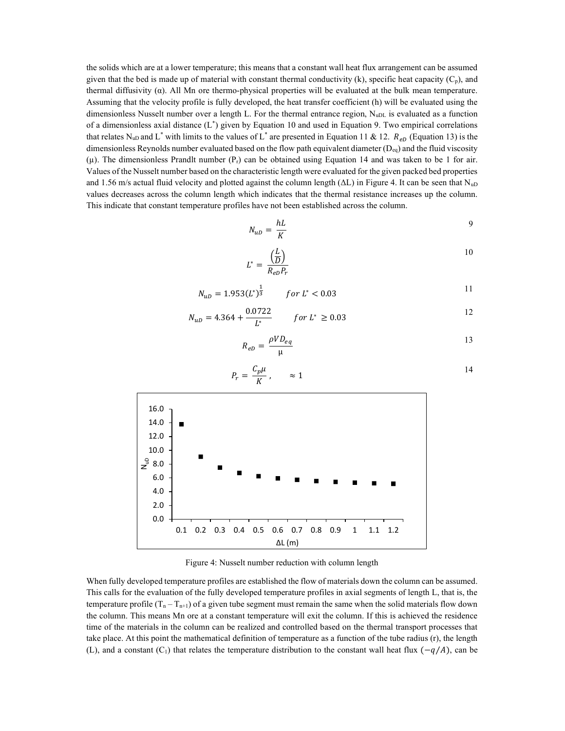the solids which are at a lower temperature; this means that a constant wall heat flux arrangement can be assumed given that the bed is made up of material with constant thermal conductivity (k), specific heat capacity  $(C_p)$ , and thermal diffusivity (α). All Mn ore thermo-physical properties will be evaluated at the bulk mean temperature. Assuming that the velocity profile is fully developed, the heat transfer coefficient (h) will be evaluated using the dimensionless Nusselt number over a length L. For the thermal entrance region,  $N_{\text{uDL}}$  is evaluated as a function of a dimensionless axial distance (L\* ) given by Equation 10 and used in Equation 9. Two empirical correlations that relates N<sub>uD</sub> and L<sup>\*</sup> with limits to the values of L<sup>\*</sup> are presented in Equation 11 & 12.  $R_{eD}$  (Equation 13) is the dimensionless Reynolds number evaluated based on the flow path equivalent diameter ( $D_{eq}$ ) and the fluid viscosity  $(\mu)$ . The dimensionless Prandlt number (P<sub>r</sub>) can be obtained using Equation 14 and was taken to be 1 for air. Values of the Nusselt number based on the characteristic length were evaluated for the given packed bed properties and 1.56 m/s actual fluid velocity and plotted against the column length ( $\Delta L$ ) in Figure 4. It can be seen that N<sub>uD</sub> values decreases across the column length which indicates that the thermal resistance increases up the column. This indicate that constant temperature profiles have not been established across the column.

$$
N_{uD} = \frac{hL}{K} \tag{9}
$$

$$
L^* = \frac{\left(\frac{L}{D}\right)}{R_{eD}P_r} \tag{10}
$$

$$
N_{uD} = 1.953 \left(L^*\right)^{\frac{1}{3}} \qquad \text{for } L^* < 0.03 \tag{11}
$$

$$
N_{uD} = 4.364 + \frac{0.0722}{L^*} \qquad \text{for } L^* \ge 0.03
$$

$$
R_{eD} = \frac{\rho V D_{eq}}{\mu} \tag{13}
$$



$$
P_r = \frac{C_p \mu}{K}, \qquad \approx 1
$$

Figure 4: Nusselt number reduction with column length

When fully developed temperature profiles are established the flow of materials down the column can be assumed. This calls for the evaluation of the fully developed temperature profiles in axial segments of length L, that is, the temperature profile  $(T_n - T_{n+1})$  of a given tube segment must remain the same when the solid materials flow down the column. This means Mn ore at a constant temperature will exit the column. If this is achieved the residence time of the materials in the column can be realized and controlled based on the thermal transport processes that take place. At this point the mathematical definition of temperature as a function of the tube radius (r), the length (L), and a constant  $(C_1)$  that relates the temperature distribution to the constant wall heat flux  $(-q/A)$ , can be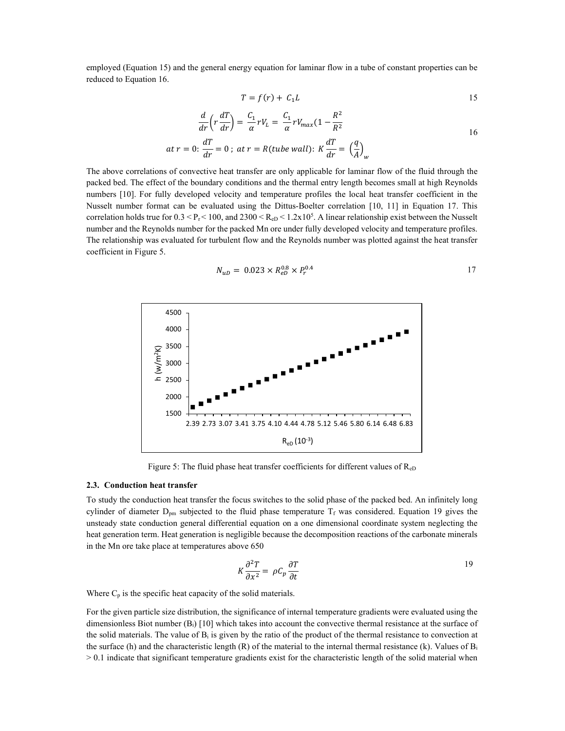employed (Equation 15) and the general energy equation for laminar flow in a tube of constant properties can be reduced to Equation 16.

$$
T = f(r) + C_1 L \tag{15}
$$

$$
\frac{d}{dr}\left(r\frac{dT}{dr}\right) = \frac{C_1}{\alpha}rV_L = \frac{C_1}{\alpha}rV_{max}(1 - \frac{R^2}{R^2})
$$
  
at  $r = 0$ :  $\frac{dT}{dr} = 0$ ; at  $r = R(tube wall)$ :  $K\frac{dT}{dr} = \left(\frac{q}{A}\right)_w$ 

The above correlations of convective heat transfer are only applicable for laminar flow of the fluid through the packed bed. The effect of the boundary conditions and the thermal entry length becomes small at high Reynolds numbers [10]. For fully developed velocity and temperature profiles the local heat transfer coefficient in the Nusselt number format can be evaluated using the Dittus-Boelter correlation [10, 11] in Equation 17. This correlation holds true for  $0.3 \leq P_r \leq 100$ , and  $2300 \leq R_{eD} \leq 1.2x10^5$ . A linear relationship exist between the Nusselt number and the Reynolds number for the packed Mn ore under fully developed velocity and temperature profiles. The relationship was evaluated for turbulent flow and the Reynolds number was plotted against the heat transfer coefficient in Figure 5.

$$
N_{uD} = 0.023 \times R_{eD}^{0.8} \times P_r^{0.4} \tag{17}
$$



Figure 5: The fluid phase heat transfer coefficients for different values of ReD

#### 2.3. Conduction heat transfer

To study the conduction heat transfer the focus switches to the solid phase of the packed bed. An infinitely long cylinder of diameter  $D_{pm}$  subjected to the fluid phase temperature  $T_f$  was considered. Equation 19 gives the unsteady state conduction general differential equation on a one dimensional coordinate system neglecting the heat generation term. Heat generation is negligible because the decomposition reactions of the carbonate minerals in the Mn ore take place at temperatures above 650

$$
K\frac{\partial^2 T}{\partial x^2} = \rho C_p \frac{\partial T}{\partial t}
$$

Where  $C_p$  is the specific heat capacity of the solid materials.

For the given particle size distribution, the significance of internal temperature gradients were evaluated using the dimensionless Biot number  $(B_i)$  [10] which takes into account the convective thermal resistance at the surface of the solid materials. The value of  $B_i$  is given by the ratio of the product of the thermal resistance to convection at the surface (h) and the characteristic length  $(R)$  of the material to the internal thermal resistance (k). Values of  $B_i$  $> 0.1$  indicate that significant temperature gradients exist for the characteristic length of the solid material when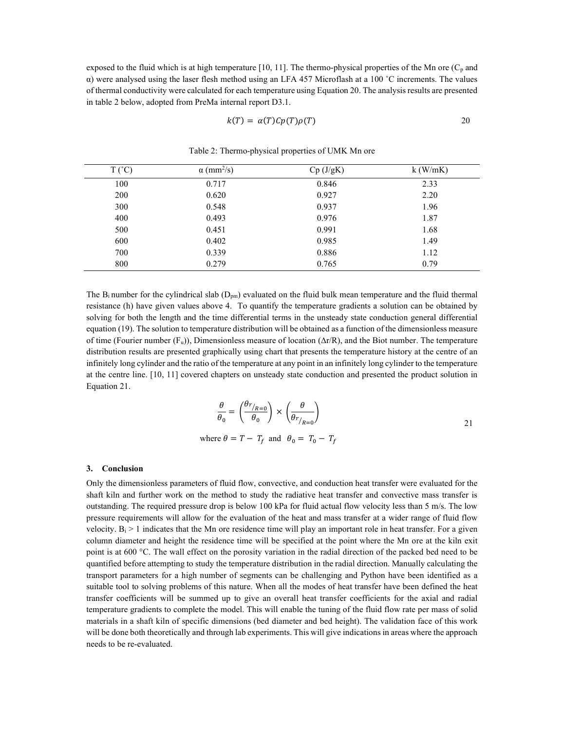exposed to the fluid which is at high temperature [10, 11]. The thermo-physical properties of the Mn ore  $(C_p$  and α) were analysed using the laser flesh method using an LFA 457 Microflash at a 100 ˚C increments. The values of thermal conductivity were calculated for each temperature using Equation 20. The analysis results are presented in table 2 below, adopted from PreMa internal report D3.1.

$$
k(T) = \alpha(T)Cp(T)\rho(T) \qquad \qquad \text{20}
$$

| $T(^{\circ}C)$ | $\alpha$ (mm <sup>2</sup> /s) | Cp (J/gK) | $k$ (W/mK) |
|----------------|-------------------------------|-----------|------------|
| 100            | 0.717                         | 0.846     | 2.33       |
| 200            | 0.620                         | 0.927     | 2.20       |
| 300            | 0.548                         | 0.937     | 1.96       |
| 400            | 0.493                         | 0.976     | 1.87       |
| 500            | 0.451                         | 0.991     | 1.68       |
| 600            | 0.402                         | 0.985     | 1.49       |
| 700            | 0.339                         | 0.886     | 1.12       |
| 800            | 0.279                         | 0.765     | 0.79       |

Table 2: Thermo-physical properties of UMK Mn ore

The  $B_i$  number for the cylindrical slab  $(D_{pm})$  evaluated on the fluid bulk mean temperature and the fluid thermal resistance (h) have given values above 4. To quantify the temperature gradients a solution can be obtained by solving for both the length and the time differential terms in the unsteady state conduction general differential equation (19). The solution to temperature distribution will be obtained as a function of the dimensionless measure of time (Fourier number (Fu)), Dimensionless measure of location (∆r/R), and the Biot number. The temperature distribution results are presented graphically using chart that presents the temperature history at the centre of an infinitely long cylinder and the ratio of the temperature at any point in an infinitely long cylinder to the temperature at the centre line. [10, 11] covered chapters on unsteady state conduction and presented the product solution in Equation 21.

$$
\frac{\theta}{\theta_0} = \left(\frac{\theta r_{R=0}}{\theta_0}\right) \times \left(\frac{\theta}{\theta r_{R=0}}\right)
$$
  
where  $\theta = T - T_f$  and  $\theta_0 = T_0 - T_f$  (21)

#### 3. Conclusion

Only the dimensionless parameters of fluid flow, convective, and conduction heat transfer were evaluated for the shaft kiln and further work on the method to study the radiative heat transfer and convective mass transfer is outstanding. The required pressure drop is below 100 kPa for fluid actual flow velocity less than 5 m/s. The low pressure requirements will allow for the evaluation of the heat and mass transfer at a wider range of fluid flow velocity.  $B_i > 1$  indicates that the Mn ore residence time will play an important role in heat transfer. For a given column diameter and height the residence time will be specified at the point where the Mn ore at the kiln exit point is at 600 °C. The wall effect on the porosity variation in the radial direction of the packed bed need to be quantified before attempting to study the temperature distribution in the radial direction. Manually calculating the transport parameters for a high number of segments can be challenging and Python have been identified as a suitable tool to solving problems of this nature. When all the modes of heat transfer have been defined the heat transfer coefficients will be summed up to give an overall heat transfer coefficients for the axial and radial temperature gradients to complete the model. This will enable the tuning of the fluid flow rate per mass of solid materials in a shaft kiln of specific dimensions (bed diameter and bed height). The validation face of this work will be done both theoretically and through lab experiments. This will give indications in areas where the approach needs to be re-evaluated.